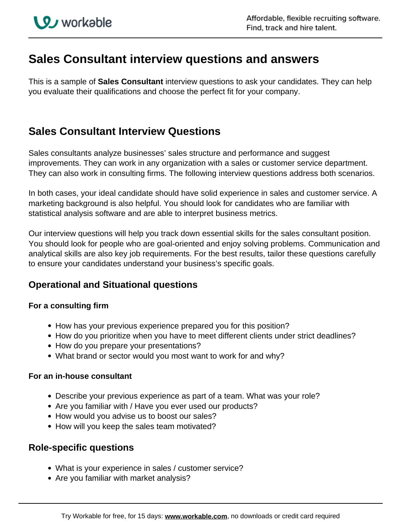# **Sales Consultant interview questions and answers**

This is a sample of **Sales Consultant** interview questions to ask your candidates. They can help you evaluate their qualifications and choose the perfect fit for your company.

## **Sales Consultant Interview Questions**

Sales consultants analyze businesses' sales structure and performance and suggest improvements. They can work in any organization with a sales or customer service department. They can also work in consulting firms. The following interview questions address both scenarios.

In both cases, your ideal candidate should have solid experience in sales and customer service. A marketing background is also helpful. You should look for candidates who are familiar with statistical analysis software and are able to interpret business metrics.

Our interview questions will help you track down essential skills for the sales consultant position. You should look for people who are goal-oriented and enjoy solving problems. Communication and analytical skills are also key job requirements. For the best results, tailor these questions carefully to ensure your candidates understand your business's specific goals.

## **Operational and Situational questions**

#### **For a consulting firm**

- How has your previous experience prepared you for this position?
- How do you prioritize when you have to meet different clients under strict deadlines?
- How do you prepare your presentations?
- What brand or sector would you most want to work for and why?

#### **For an in-house consultant**

- Describe your previous experience as part of a team. What was your role?
- Are you familiar with / Have you ever used our products?
- How would you advise us to boost our sales?
- How will you keep the sales team motivated?

### **Role-specific questions**

- What is your experience in sales / customer service?
- Are you familiar with market analysis?